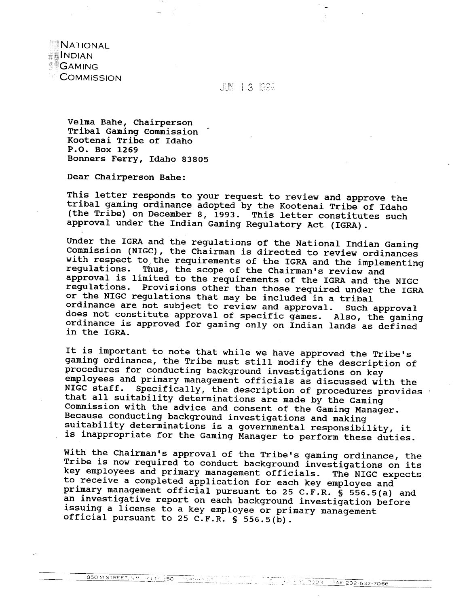**NATIONAL** INDIAN **GAMING COMMISSION** 

**JUN 13 1994** 

Velma Bahe, Chairperson Tribal Gaming Commission - Kootenai Tribe of Idaho P.O. Box 1269 Bonners Ferry, Idaho 83805

Dear Chairperson Bahe:

This letter responds to your request to review and approve the tribal gaming ordinance adopted by the Kootenai Tribe of Idaho (the Tribe) on December 8, 1993. This letter constitutes such approval under the Indian Gaming Regulatory Act (IGRA).

Under the IGRA and the regulations of the National Indian Gaming Commission (NIGC), the Chairman is directed to review ordinances with respect to the requirements of the IGRA and the implementing regulations. Thus, the scope of the Chairman's review and approval is limited to the requirements of the IGRA and the NIGC regulations. Provisions other than those required under the IGRA or the NIGC regulations that may be included in a tribal ordinance are not subject to review and approval. Such approval does not constitute approval of specific games. Also, the gaming ordinance is approved for gaming only on Indian lands as defined in the IGRA.

It is important to note that while we have approved the Tribe's gaming ordinance, the Tribe must still modify the description of procedures for conducting background investigations on key employees and primary management officials as discussed with the NIGC staff. Specifically, the description of procedures provides that all suitability determinations are made by the Gaming Commission with the advice and consent of the Gaming Manager. Because conducting background investigations and making suitability determinations is a governmental responsibility, it is inappropriate for the Gaming Manager to perform these duties.

With the Chairman's approval of the Tribe's gaming ordinance, the Tribe is now required to conduct background investigations on its key employees and primary management officials. The NIGC expects to receive a completed application for each key employee and primary management official pursuant to 25 C.F.R. § 556.5(a) and an investigative report on each background investigation before issuing a license to a key employee or primary management official pursuant to 25 C.F.R. **5** 556.5(b).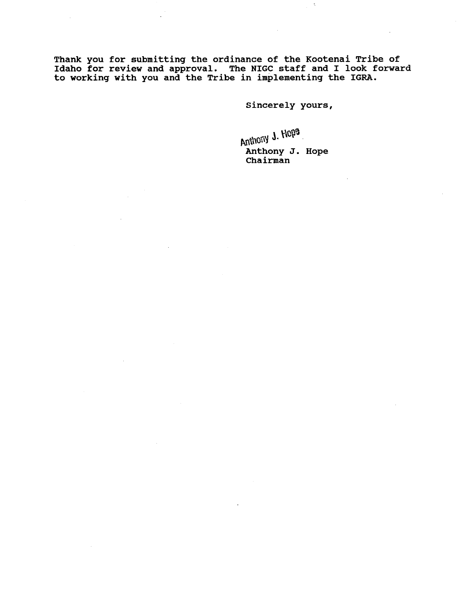**Thank you for submitting the ordinance of the Kootenai Tribe of Idaho for review and approval. The NIGC staff and I look forward to working with you and the Tribe in implementing the IGRA.** 

**Sincerely yours,** 

**Anthony J. Hope Chairman**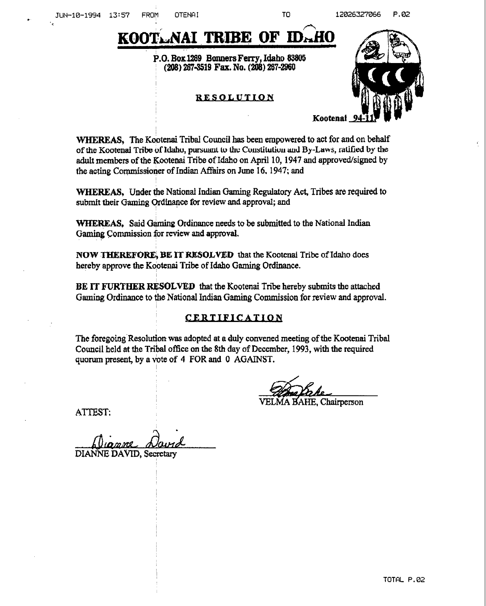# KOOTLAAI TRIBE OF ID. AO **P.O. BoxU39 B0~6rs Ferry, Idaho 83805 (208) 2674519 Fax. No. (208) 267-2960**

## RESOLUTION



**WHEREAS, The Kootenai Tribal Council has been empowered to act** for **and on behalf of the Kootenal Tribe of Idaho, pursuant to the Constitution and By-Laws, ratified by the adult members of the Kootenai Tribe of Idaho on April 10,1947 and approvedfsigned by the acting Coqmissioner of Indian Affairs on June 1 6, 1947; and** 

**WHEREAS, Under me National Indim (3aming Regulatory Act, Tribes are required to submit their** Gaming **?rdh~ce for review and approval; and** 

**WTBREAS, Said** *G\** **Ordinance needs to be submitted to the National Indian Gaming Commission for review and approval.** 

**NOW THEREFORE, BE IT WS0LVE.D tbat the Kootcnai Tribe of Idaho does hereby approve** the **Kootenai Tribe of Idaho Gaming Ordinance.** 

**BE IT FURTHER RESOLVED that the Kootenai** f **ribe hereby submits the attached**  Gaming Ordinance to the National Indian Gaming Commission for review and approval.

## CERTIFICATION

**The foregoing Resolution was adopted at a duly convened meeting** of **the** Kootenai **Tribal Council held at the** ~ribal **office on the 8th day of Dccnnber, 1993, with the required quorum present, by a hte of 4 FOR and 0 AGATNST.** 

**VELMA BAHE. Chairperson** 

ATTEST:

. DIANNE **DAVID, Sccrctary**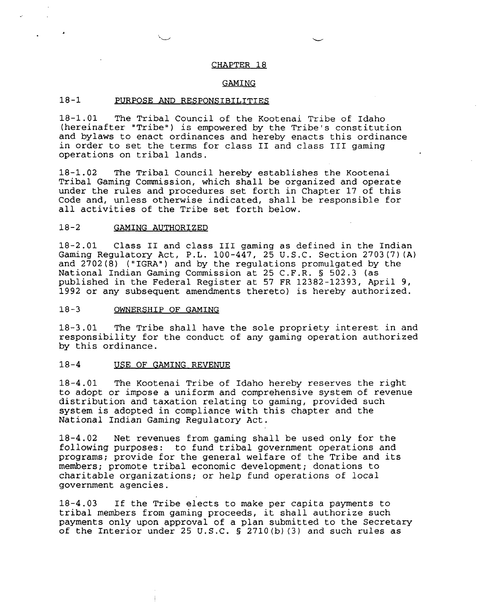#### CHAPTER 18

#### GAMING

#### 18-1 PURPOSE AND RESPONSIBILITIES

18-1.01 The Tribal Council of the Kootenai Tribe of Idaho (hereinafter "Tribe") is empowered by the Tribe's constitution and bylaws to enact ordinances and hereby enacts this ordinance in order to set the terms for class I1 and class 111 gaming operations on tribal lands.

18-1.02 The Tribal Council hereby establishes the Kootenai Tribal Gaming Commission, which shall be organized and operate under the rules and procedures set forth in Chapter 17 of this Code and, unless otherwise indicated, shall be responsible for all activities of the Tribe set forth below.

#### $18 - 2$ GAMING AUTHORIZED

18-2.01 Class I1 and class I11 gaming as defined in the Indian Gaming Regulatory Act, P.L. 100-447, 25 U.S.C. Section 2703(7) (A) and  $2702(8)$  ("IGRA") and by the regulations promulgated by the National Indian Gaming Commission at 25 C.F.R. **5** 502.3 (as published in the Federal Register at 57 FR 12382-12393, April 9, 1992 or any subsequent amendments thereto) is hereby authorized.

#### 18-3 OWNERSHIP OF GAMING

18-3.01 The Tribe shall have the sole propriety interest in and responsibility for the conduct of any gaming operation authorized by this ordinance.

#### $18 - 4$ USE OF GAMING REVENUE

18-4.01 The Kootenai Tribe of Idaho hereby reserves the right to adopt or impose a uniform and comprehensive system of revenue distribution and taxation relating to gaming, provided such system is adopted in compliance with this chapter and the National Indian Gaming Regulatory Act.

18-4.02 Net revenues from gaming shall be used only for the following purposes: to fund tribal government operations and programs; provide for the general welfare of the Tribe and its members; promote tribal economic development; donations to charitable organizations; or help fund operations of local government agencies.

18-4.03 If the Tribe elects to make per capita payments to tribal members from gaming proceeds, it shall authorize such payments only upon approval of a plan submitted to the Secretary of the Interior under 25 U.S.C. § 2710(b) (3) and such rules as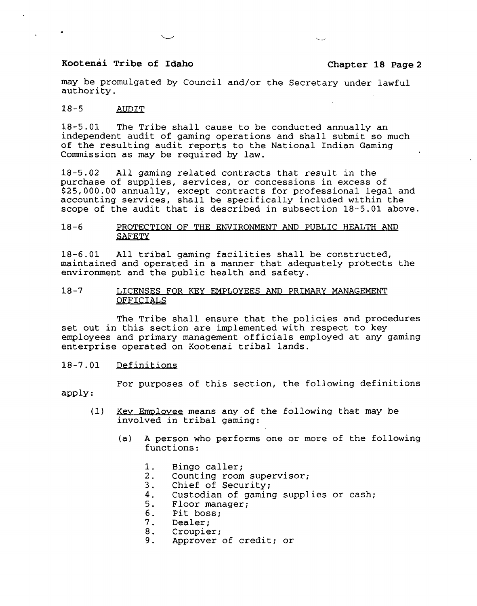may be promulgated by Council and/or the Secretary under lawful authority.

#### $18 - 5$ AUDIT

 $\sim 10$ 

18-5.01 The Tribe shall cause to be conducted annually an independent audit of gaming operations and shall submit so much of the resulting audit reports to the National Indian Gaming Commission as may be required by law.

18-5.02 All gaming related contracts that result in the purchase of supplies, services, or concessions in excess of \$25,000.00 annually, except contracts for professional legal and accounting services, shall be specifically included within the scope of the audit that is described in subsection 18-5.01 above.

#### 18-6 J'ROTECTION OF THE ENVIRONMENT **AND** PUBLIC HEALTH **AND SAFETY**

18-6.01 All tribal gaming facilities shall be constructed, maintained and operated in a manner that adequately protects the environment and the public health and safety.

#### 18-7 LICENSES FOR KEY EMPLOYEES AND PRIMARY MANAGEMENT OFFICIALS

The Tribe shall ensure that the policies and procedures set out in this section are implemented with respect to key employees and primary management officials employed at any gaming enterprise operated on Kootenai tribal lands.

#### 18-7.01 Definitions

For purposes of this section, the following definitions apply :

- (1) <u>Key Employee</u> means any of the following that may be involved in tribal gaming:
	- (a) A person who performs one or more of the following functions:
		- 1. Bingo caller;<br>2. Counting room
		- 2. Counting room supervisor;<br>3. Chief of Security;
		- 3. Chief of Security;<br>4. Custodian of gamin
		- 4. Custodian of gaming supplies or cash;<br>5. Floor manager;
		- 5. Floor manager;<br>6. Pit boss:
		-
		- 6. Pit boss;<br>7. Dealer;
		- 7. Dealer;<br>8. Croupie
		- 8. Croupier;<br>9. Approver Approver of credit; or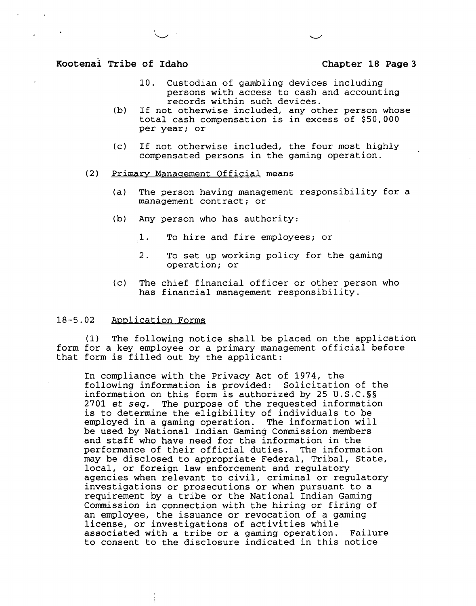- 10. Custodian of gambling devices including persons with access to cash and accounting records within such devices.
- (b) If not otherwise included, any other person whose total cash compensation is in excess of \$50,000 per year; or
- (c) If not otherwise included, the four most highly compensated persons in the gaming operation.
- (2) Primarv Manaaement Official means
	- (a) The person having management responsibility for a management contract; or
	- (b) Any person who has authority:
		- 1. To hire and fire employees; or
		- 2. To set up working policy for the gaming operation; or
	- (c) The chief financial officer or other person who has financial management responsibility.

#### 18-5.02 Application Forms

(1) The following notice shall be placed on the application form for a key employee or a primary management official before that form is filled out by the applicant:

In compliance with the Privacy Act of 1974, the following information is provided: Solicitation of the information on this form is authorized by 25 U.S.C.§§ 2701 et **seq.** The purpose of the requested information is to determine the eligibility of individuals to be employed in a gaming operation. The information will be used by National Indian Gaming Commission members and staff who have need for the information in the performance of their official duties. The information may be disclosed to appropriate Federal, Tribal, State, local, or foreign law enforcement and regulatory agencies when relevant to civil, criminal or regulatory investigations or prosecutions or when pursuant to a requirement by a tribe or the National Indian Gaming Commission in connection with the hiring or firing of an employee, the issuance or revocation of a gaming license, or investigations of activities while associated with a tribe or a gaming operation. Failure to consent to the disclosure indicated in this notice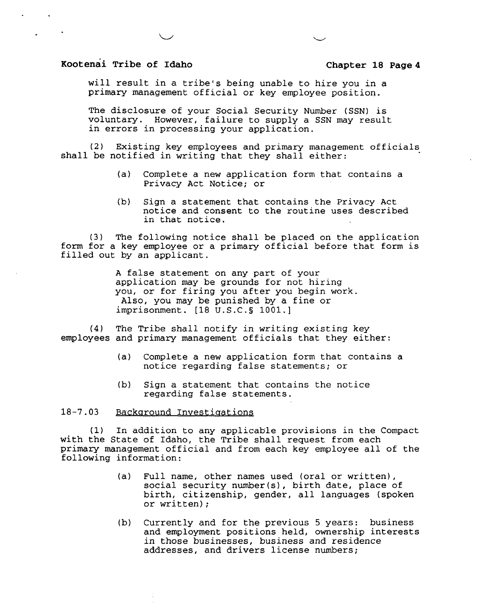will result in a tribe's being unable to hire you in a primary management official or key employee position.

The disclosure of your Social Security Number (SSN) is voluntary. However, failure to supply a SSN may result in errors in processing your application.

(2) Existing key employees and primary management officials shall be notified in writing that they shall either:

- (a) Complete a new application form that contains a Privacy Act Notice; or
- (b) Sign a statement that contains the Privacy Act notice and consent to the routine uses described in that notice.

**(3)** The following notice shall be placed on the application form for a key employee or a primary official before that form is filled out by an applicant.

> A false statement on any part of your application may be grounds for not hiring you, or for firing you after you begin work. Also, you may be punished by a fine or imprisonment. [18 U.S.C.5 1001.1

**(4)** The Tribe shall notify in writing existing key employees and primary management officials that they either:

- (a) Complete a new application form that contains a notice regarding false statements; or
- (b) Sign a statement that contains the notice regarding false statements.

### 18-7.03 Background Investigations

(1) In addition to any applicable provisions in the Compact with the State of Idaho, the Tribe shall request from each primary management official and from each key employee all of the following information:

- (a) Full name, other names used (oral or written), social security number(s), birth date, place of birth, citizenship, gender, all languages (spoken or written);
- (b) Currently and for the previous 5 years: business and employment positions held, ownership interests in those businesses, business and residence addresses, and drivers license numbers;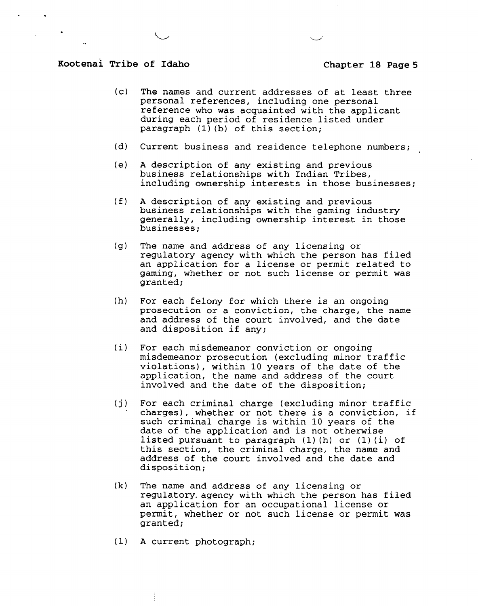- (c) The names and current addresses of at least three personal references, including one personal reference who was acquainted with the applicant during each period of residence listed under paragraph **(1)** (b) of this section;
- (d) Current business and residence telephone numbers;
- (el A description of any existing and previous business relationships with Indian Tribes, including ownership interests in those businesses;
- (£1 A description of any existing and previous business relationships with the gaming industry generally, including ownership interest in those businesses;
- (g) The name and address of any licensing or regulatory agency with which the person has filed an application for a license or permit related to gaming, whether or not such license or permit was granted;
- (h) For each felony for which there is an ongoing prosecution or a conviction, the charge, the name and address of the court involved, and the date and disposition if any;
- (i) For each misdemeanor conviction or ongoing misdemeanor prosecution (excluding minor traffic violations), within 10 years of the date of the application, the name and address of the court involved and the date of the disposition;
- (j) For each criminal charge (excluding minor traffic charges), whether or not there is a conviction, if such criminal charge is within 10 years of the date of the application and is not otherwise listed pursuant to paragraph (1) (h) or **(1)** (i) of this section, the criminal charge, the name and address of the court involved and the date and disposition;
- **(k)** The name and address of any licensing or regulatory. agency with which the person has filed an.application for an occupational license or permit, whether or not such license or permit was granted;
- (1) A current photograph;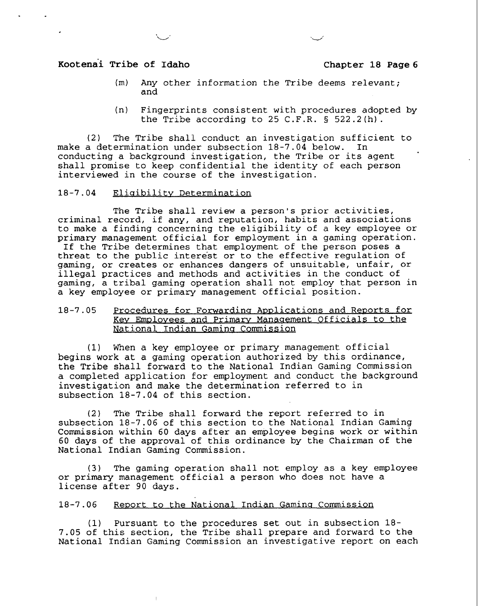- (m) Any other information the Tribe deems relevant; and
- (n) Fingerprints consistent with procedures adopted by the Tribe according to 25 C.F.R. **5** 522.2(h).

(2) The Tribe shall conduct an investigation sufficient to make a determination under subsection **18-7.04** below. In conducting a background investigation, the Tribe or its agent shall promise to keep confidential the identity of each person interviewed in the course of the investigation.

#### **18-7.04** Eliaibilitv Determination

The Tribe shall review a person's prior activities, criminal record, if any, and reputation, habits and associations to make a finding concerning the eligibility of a key employee or primary management official for employment in a gaming operation. If the Tribe determines that employment of the person poses a threat to the public intere'st or to the effective regulation of gaming, or creates or enhances dangers of unsuitable, unfair, or illegal practices and methods and activities in the conduct of gaming, a tribal gaming operation shall not employ that person in a key employee or primary management official position.

#### 18-7.05 Procedures for Forwarding Applications and Reports for Key Employees and Primary Management Officials to the National Indian Gaming Commission

(1) When a key employee or primary management official begins work at a gaming operation authorized by this ordinance, the Tribe shall forward to the National Indian Gaming Commission a completed application for employment and conduct the background investigation and make the determination referred to in subsection **18-7.04** of this section.

(2) The Tribe shall forward the report referred to in subsection **18-7.06** of this section to the National Indian Gaming Commission within **60** days after an employee begins work or within **60** days of the approval of this ordinance by the Chairman of the National Indian Gaming Commission.

(3) The gaming operation shall not employ as a key employee or primary management official a person who does not have a license after **90** days.

### 18-7.06 Report to the National Indian Gaming Commission

(1) Pursuant to the procedures set out in subsection **18- 7.05** of this section, the Tribe shall prepare and forward to the National Indian Gaming Commission an investigative report on each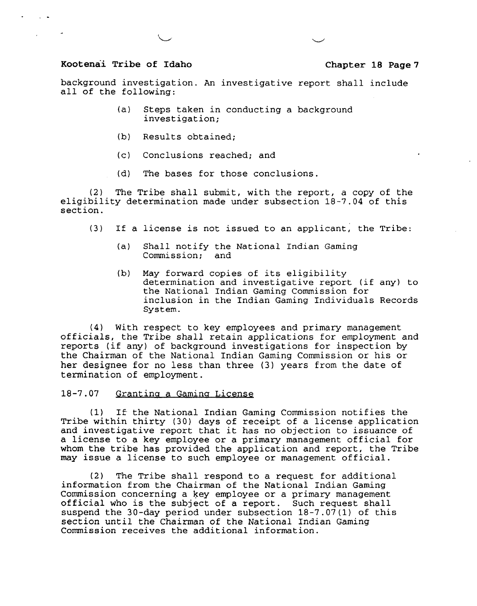background investigation. An investigative report shall include all of the following:

- (a) Steps taken in conducting a background investigation;
- (b) Results obtained;
- (c) Conclusions reached; and
- (d) The bases for those conclusions.

(2) The Tribe shall submit, with the report, a copy of the eligibility determination made under subsection 18-7.04 of this section.

- (3) If a license is not issued to an applicant, the Tribe:
	- (a) Shall notify the National Indian Gaming Commission; and
	- (b) May forward copies of its eligibility determination and investigative report (if any) to the National Indian Gaming Commission for inclusion in the Indian Gaming Individuals Records System.

(4) With respect to key employees and primary management officials, the Tribe shall retain applications for employment and reports (if any) of background investigations for inspection by the Chairman of the National Indian Gaming Commission or his or her designee for no less than three (3) years from the date of termination of employment.

#### 18-7.07 Srantina a Gamina License

(1) If the National Indian Gaming Commission notifies the Tribe within thirty (30) days of receipt of a license application and investigative report that it has no objection to issuance of a license to a key employee or a primary management official for whom the tribe has provided the application and report, the Tribe may issue a license to such employee or management official.

**(2)** The Tribe shall respond to a request for additional information from the Chairman of the National Indian Gaming Commission concerning a key employee or a primary management official who is the subject of a report. Such request shall suspend the 30-day period under subsection 18-7.07(1) of this section until the' Chairman of the National Indian Gaming Commission receives the additional information.